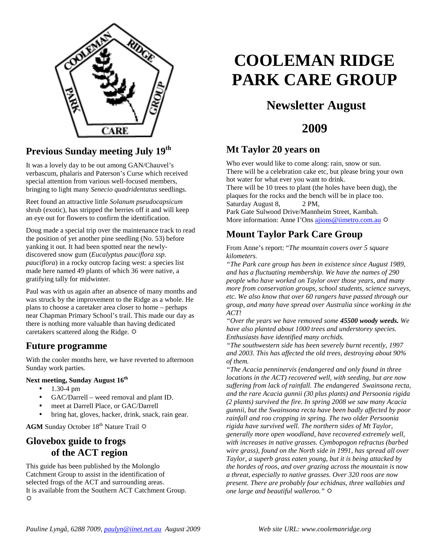

### **Previous Sunday meeting July 19th**

It was a lovely day to be out among GAN/Chauvel's verbascum, phalaris and Paterson's Curse which received special attention from various well-focused members, bringing to light many *Senecio quadridentatus* seedlings.

Reet found an attractive little *Solanum pseudocapsicum*  shrub (exotic), has stripped the berries off it and will keep an eye out for flowers to confirm the identification.

Doug made a special trip over the maintenance track to read the position of yet another pine seedling (No. 53) before yanking it out. It had been spotted near the newlydiscovered snow gum (*Eucalyptus pauciflora ssp. pauciflora*) in a rocky outcrop facing west: a species list made here named 49 plants of which 36 were native, a gratifying tally for midwinter.

Paul was with us again after an absence of many months and was struck by the improvement to the Ridge as a whole. He plans to choose a caretaker area closer to home – perhaps near Chapman Primary School's trail. This made our day as there is nothing more valuable than having dedicated caretakers scattered along the Ridge.  $\Phi$ 

#### **Future programme**

With the cooler months here, we have reverted to afternoon Sunday work parties.

#### **Next meeting, Sunday August 16th**

- $1.30 4 \text{ pm}$
- GAC/Darrell weed removal and plant ID.
- meet at Darrell Place, or GAC/Darrell
- bring hat, gloves, hacker, drink, snack, rain gear.

**AGM** Sunday October 18<sup>th</sup> Nature Trail  $\Phi$ 

#### **Glovebox guide to frogs of the ACT region**

This guide has been published by the Molonglo Catchment Group to assist in the identification of selected frogs of the ACT and surrounding areas. It is available from the Southern ACT Catchment Group. ♦

# **COOLEMAN RIDGE PARK CARE GROUP**

## **Newsletter August**

### **2009**

#### **Mt Taylor 20 years on**

Who ever would like to come along: rain, snow or sun. There will be a celebration cake etc, but please bring your own hot water for what ever you want to drink.

There will be 10 trees to plant (the holes have been dug), the plaques for the rocks and the bench will be in place too. Saturday August 8, 2 PM,

Park Gate Sulwood Drive/Mannheim Street, Kambah. More information: Anne I'Ons ajions@iimetro.com.au  $\Phi$ 

#### **Mount Taylor Park Care Group**

From Anne's report: "*The mountain covers over 5 square kilometers.* 

*"The Park care group has been in existence since August 1989, and has a fluctuating membership. We have the names of 290 people who have worked on Taylor over those years, and many more from conservation groups, school students, science surveys, etc. We also know that over 60 rangers have passed through our group, and many have spread over Australia since working in the ACT!* 

*"Over the years we have removed some 45500 woody weeds. We have also planted about 1000 trees and understorey species. Enthusiasts have identified many orchids.* 

*"The southwestern side has been severely burnt recently, 1997 and 2003. This has affected the old trees, destroying about 90% of them.* 

*"The Acacia penninervis (endangered and only found in three locations in the ACT) recovered well, with seeding, but are now suffering from lack of rainfall. The endangered Swainsona recta, and the rare Acacia gunnii (30 plus plants) and Persoonia rigida (2 plants) survived the fire. In spring 2008 we saw many Acacia gunnii, but the Swainsona recta have been badly affected by poor rainfall and roo cropping in spring. The two older Persoonia rigida have survived well. The northern sides of Mt Taylor, generally more open woodland, have recovered extremely well, with increases in native grasses. Cymbopogon refractus (barbed wire grass), found on the North side in 1991, has spread all over Taylor, a superb grass eaten young, but it is being attacked by the hordes of roos, and over grazing across the mountain is now a threat, especially to native grasses. Over 320 roos are now present. There are probably four echidnas, three wallabies and one large and beautiful walleroo."*